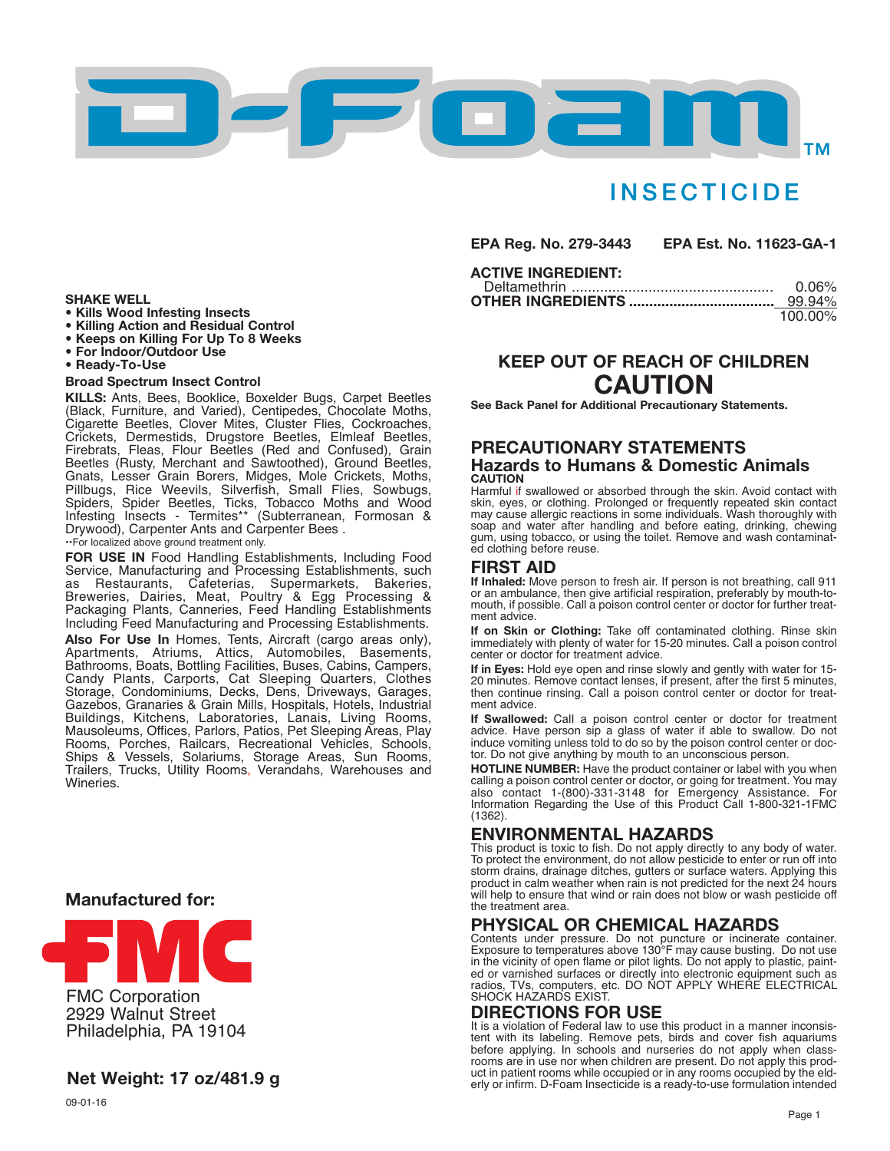

# **INSECTICIDE**

**EPA Reg. No. 279-3443 EPA Est. No. 11623-GA-1**

#### **ACTIVE INGREDIENT:**

| 0.06%   |
|---------|
| 99.94%  |
| 100.00% |

## **KEEP OUT OF REACH OF CHILDREN CAUTION**

**See Back Panel for Additional Precautionary Statements.**

#### **PRECAUTIONARY STATEMENTS Hazards to Humans & Domestic Animals CAUTION**

Harmful if swallowed or absorbed through the skin. Avoid contact with skin, eyes, or clothing. Prolonged or frequently repeated skin contact may cause allergic reactions in some individuals. Wash thoroughly with soap and water after handling and before eating, drinking, chewing gum, using tobacco, or using the toilet. Remove and wash contaminated clothing before reuse.

### **FIRST AID**

**If Inhaled:** Move person to fresh air. If person is not breathing, call 911 or an ambulance, then give artificial respiration, preferably by mouth-tomouth, if possible. Call a poison control center or doctor for further treatment advice.

**If on Skin or Clothing:** Take off contaminated clothing. Rinse skin immediately with plenty of water for 15-20 minutes. Call a poison control center or doctor for treatment advice.

**If in Eyes:** Hold eye open and rinse slowly and gently with water for 15- 20 minutes. Remove contact lenses, if present, after the first 5 minutes, then continue rinsing. Call a poison control center or doctor for treatment advice.

**If Swallowed:** CalI a poison control center or doctor for treatment advice. Have person sip a glass of water if able to swallow. Do not induce vomiting unless told to do so by the poison control center or doctor. Do not give anything by mouth to an unconscious person.

**HOTLINE NUMBER:** Have the product container or label with you when calling a poison control center or doctor, or going for treatment. You may also contact 1-(800)-331-3148 for Emergency Assistance. For Information Regarding the Use of this Product Call 1-800-321-1FMC (1362).

### **ENVIRONMENTAL HAZARDS**

This product is toxic to fish. Do not apply directly to any body of water. To protect the environment, do not allow pesticide to enter or run off into storm drains, drainage ditches, gutters or surface waters. Applying this product in calm weather when rain is not predicted for the next 24 hours will help to ensure that wind or rain does not blow or wash pesticide off the treatment area.

### **PHYSICAL OR CHEMICAL HAZARDS**

Contents under pressure. Do not puncture or incinerate container. Exposure to temperatures above 130°F may cause busting. Do not use in the vicinity of open flame or pilot lights. Do not apply to plastic, painted or varnished surfaces or directly into electronic equipment such as radios, TVs, computers, etc. DO NOT APPLY WHERE ELECTRICAL SHOCK HAZARDS EXIST.

### **DIRECTIONS FOR USE**

It is a violation of Federal law to use this product in a manner inconsistent with its labeling. Remove pets, birds and cover fish aquariums before applying. In schools and nurseries do not apply when classrooms are in use nor when children are present. Do not apply this product in patient rooms while occupied or in any rooms occupied by the elderly or infirm. D-Foam Insecticide is a ready-to-use formulation intended

#### **SHAKE WELL**

- **• Kills Wood Infesting Insects**
- **• Killing Action and Residual Control**
- **• Keeps on Killing For Up To 8 Weeks**
- **• For Indoor/Outdoor Use • Ready-To-Use**

### **Broad Spectrum Insect Control**

**KILLS:** Ants, Bees, Booklice, Boxelder Bugs, Carpet Beetles (Black, Furniture, and Varied), Centipedes, Chocolate Moths,<br>Cigarette Beetles, Clover Mites, Cluster Flies, Cockroaches,<br>Crickets, Dermestids, Drugstore Beetles, Elmleaf Beetles,<br>Firebrats, Fleas, Flour Beetles (Red and C Beetles (Rusty, Merchant and Sawtoothed), Ground Beetles,<br>Gnats, Lesser Grain Borers, Midges, Mole Crickets, Moths,<br>Pillbugs, Rice Weevils, Silverfish, Small Flies, Sowbugs, Spiders, Spider Beetles, Ticks, Tobacco Moths and Wood Infesting Insects - Termites\*\* (Subterranean, Formosan & Drywood), Carpenter Ants and Carpenter Bees .

••For localized above ground treatment only.

**FOR USE IN** Food Handling Establishments, Including Food Service, Manufacturing and Processing Establishments, such as Restaurants, Cafeterias, Supermarkets, Bakeries, Breweries, Dairies, Meat, Poultry & Egg Processing & Packaging Plants, Canneries, Feed Handling Establishments Including Feed Manufacturing and Processing Establishments.

Also For Use In Homes, Tents, Aircraft (cargo areas only), Apartments, Atriums, Attics, Automobiles, Basements, Bathrooms, Boats, Bottling Facilities, Buses, Cabins, Campers, Candy Plants, Carports, Cat Sleeping Quarters, Clothes<br>Storage, Condominiums, Decks, Dens, Driveways, Garages,<br>Gazebos, Granaries & Grain Mills, Hospitals, Hotels, Industrial Buildings, Kitchens, Laboratories, Lanais, Living Rooms, Mausoleums, Offices, Parlors, Patios, Pet Sleeping Areas, Play Rooms, Porches, Railcars, Recreational Vehicles, Schools, Ships & Vessels, Solariums, Storage Areas, Sun Rooms, Trailers, Trucks, Utility Rooms, Verandahs, Warehouses and Wineries.

### **Manufactured for:**



## **Net Weight: 17 oz/481.9 g**